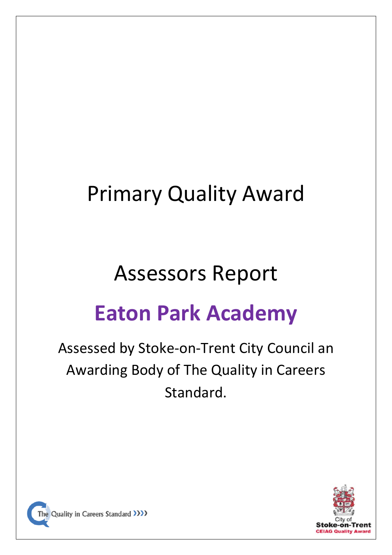# Primary Quality Award

### Assessors Report

## **Eaton Park Academy**

### Assessed by Stoke-on-Trent City Council an Awarding Body of The Quality in Careers Standard.



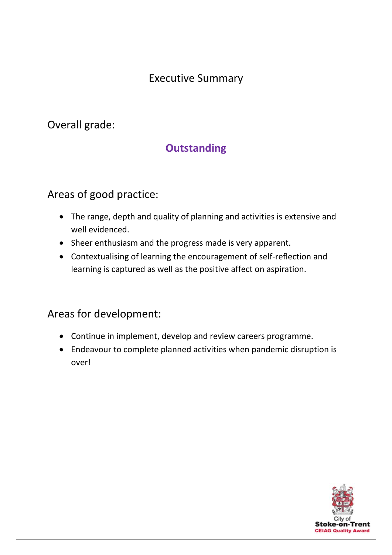#### Executive Summary

Overall grade:

#### **Outstanding**

#### Areas of good practice:

- The range, depth and quality of planning and activities is extensive and well evidenced.
- Sheer enthusiasm and the progress made is very apparent.
- Contextualising of learning the encouragement of self-reflection and learning is captured as well as the positive affect on aspiration.

#### Areas for development:

- Continue in implement, develop and review careers programme.
- Endeavour to complete planned activities when pandemic disruption is over!

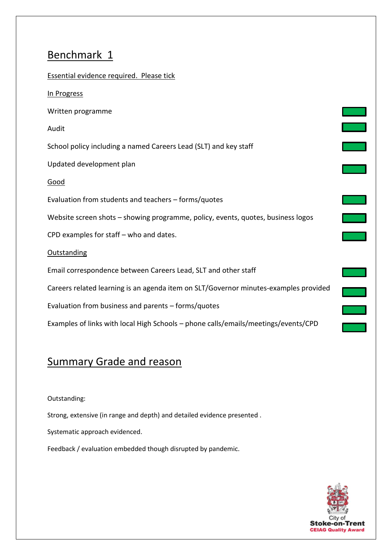| Essential evidence required. Please tick                                             |  |
|--------------------------------------------------------------------------------------|--|
| In Progress                                                                          |  |
| Written programme                                                                    |  |
| Audit                                                                                |  |
| School policy including a named Careers Lead (SLT) and key staff                     |  |
| Updated development plan                                                             |  |
| <u>Good</u>                                                                          |  |
| Evaluation from students and teachers - forms/quotes                                 |  |
| Website screen shots - showing programme, policy, events, quotes, business logos     |  |
| CPD examples for staff - who and dates.                                              |  |
| <b>Outstanding</b>                                                                   |  |
| Email correspondence between Careers Lead, SLT and other staff                       |  |
| Careers related learning is an agenda item on SLT/Governor minutes-examples provided |  |
| Evaluation from business and parents - forms/quotes                                  |  |
| Examples of links with local High Schools - phone calls/emails/meetings/events/CPD   |  |

#### **Summary Grade and reason**

#### Outstanding:

Strong, extensive (in range and depth) and detailed evidence presented .

Systematic approach evidenced.

Feedback / evaluation embedded though disrupted by pandemic.

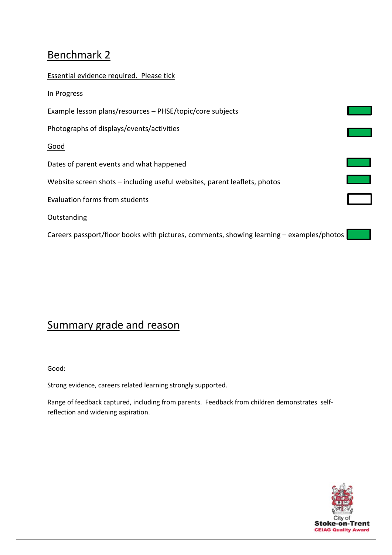| Essential evidence required. Please tick                                                 |  |
|------------------------------------------------------------------------------------------|--|
| In Progress                                                                              |  |
| Example lesson plans/resources - PHSE/topic/core subjects                                |  |
| Photographs of displays/events/activities                                                |  |
| Good                                                                                     |  |
| Dates of parent events and what happened                                                 |  |
| Website screen shots – including useful websites, parent leaflets, photos                |  |
| <b>Evaluation forms from students</b>                                                    |  |
| Outstanding                                                                              |  |
| Careers passport/floor books with pictures, comments, showing learning – examples/photos |  |

### Summary grade and reason

Good:

Strong evidence, careers related learning strongly supported.

Range of feedback captured, including from parents. Feedback from children demonstrates selfreflection and widening aspiration.

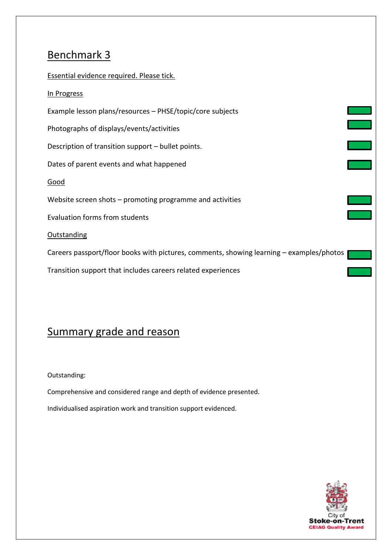Essential evidence required. Please tick. In Progress Example lesson plans/resources – PHSE/topic/core subjects Photographs of displays/events/activities Description of transition support – bullet points. Dates of parent events and what happened Good Website screen shots – promoting programme and activities Evaluation forms from students Outstanding Careers passport/floor books with pictures, comments, showing learning – examples/photos Transition support that includes careers related experiences

#### Summary grade and reason

Outstanding:

Comprehensive and considered range and depth of evidence presented.

Individualised aspiration work and transition support evidenced.

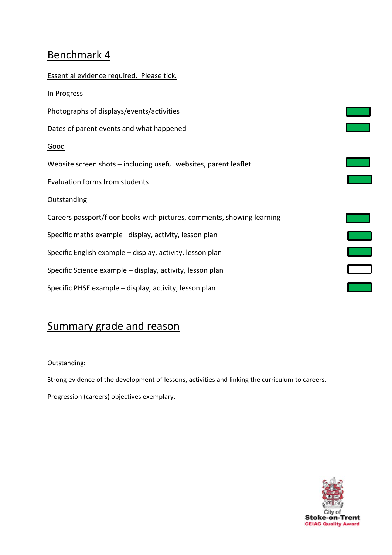| Essential evidence required. Please tick.                              |  |
|------------------------------------------------------------------------|--|
| In Progress                                                            |  |
| Photographs of displays/events/activities                              |  |
| Dates of parent events and what happened                               |  |
| Good                                                                   |  |
| Website screen shots - including useful websites, parent leaflet       |  |
| <b>Evaluation forms from students</b>                                  |  |
| <b>Outstanding</b>                                                     |  |
| Careers passport/floor books with pictures, comments, showing learning |  |
| Specific maths example -display, activity, lesson plan                 |  |
| Specific English example - display, activity, lesson plan              |  |
| Specific Science example - display, activity, lesson plan              |  |
| Specific PHSE example - display, activity, lesson plan                 |  |

### Summary grade and reason

Outstanding:

Strong evidence of the development of lessons, activities and linking the curriculum to careers. Progression (careers) objectives exemplary.

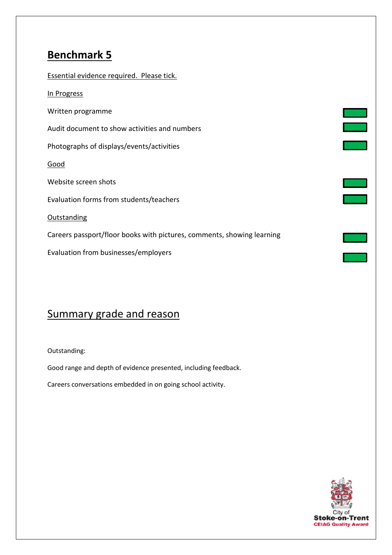| Essential evidence required. Please tick.                              |  |
|------------------------------------------------------------------------|--|
| In Progress                                                            |  |
| Written programme                                                      |  |
| Audit document to show activities and numbers                          |  |
| Photographs of displays/events/activities                              |  |
| <u>Good</u>                                                            |  |
| Website screen shots                                                   |  |
| Evaluation forms from students/teachers                                |  |
| Outstanding                                                            |  |
| Careers passport/floor books with pictures, comments, showing learning |  |
| Evaluation from businesses/employers                                   |  |

#### Summary grade and reason

Outstanding:

Good range and depth of evidence presented, including feedback.

Careers conversations embedded in on going school activity.



 $\mathcal{L}^{\text{max}}_{\text{max}}$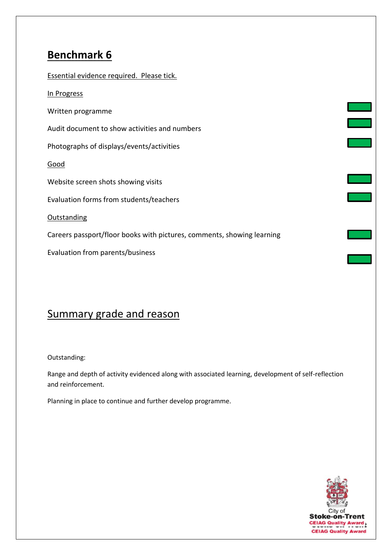| Essential evidence required. Please tick.                              |  |
|------------------------------------------------------------------------|--|
| In Progress                                                            |  |
| Written programme                                                      |  |
| Audit document to show activities and numbers                          |  |
| Photographs of displays/events/activities                              |  |
| <u>Good</u>                                                            |  |
| Website screen shots showing visits                                    |  |
| Evaluation forms from students/teachers                                |  |
| <b>Outstanding</b>                                                     |  |
| Careers passport/floor books with pictures, comments, showing learning |  |
| Evaluation from parents/business                                       |  |
|                                                                        |  |

#### Summary grade and reason

Outstanding:

Range and depth of activity evidenced along with associated learning, development of self-reflection and reinforcement.

Planning in place to continue and further develop programme.

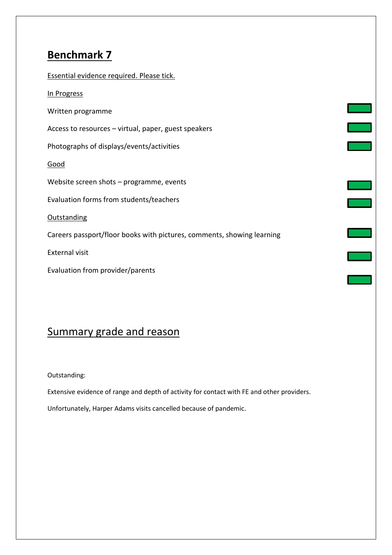| Essential evidence required. Please tick.                              |  |
|------------------------------------------------------------------------|--|
| In Progress                                                            |  |
| Written programme                                                      |  |
| Access to resources - virtual, paper, guest speakers                   |  |
| Photographs of displays/events/activities                              |  |
| Good                                                                   |  |
| Website screen shots - programme, events                               |  |
| Evaluation forms from students/teachers                                |  |
| <b>Outstanding</b>                                                     |  |
| Careers passport/floor books with pictures, comments, showing learning |  |
| <b>External visit</b>                                                  |  |
| Evaluation from provider/parents                                       |  |
|                                                                        |  |

×.

 $\mathcal{L}_{\mathcal{A}}$ 

#### Summary grade and reason

Outstanding:

Extensive evidence of range and depth of activity for contact with FE and other providers.

Unfortunately, Harper Adams visits cancelled because of pandemic.